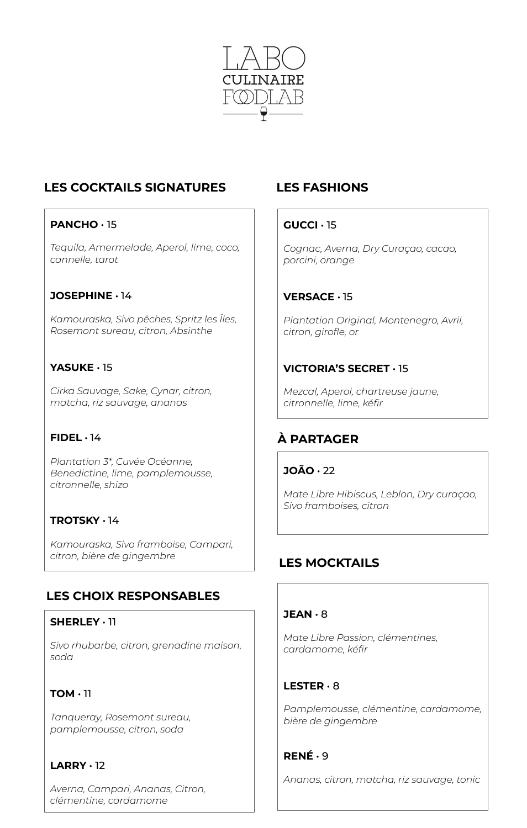

# **LES COCKTAILS SIGNATURES**

## **PANCHO** • 15

*Tequila, Amermelade, Aperol, lime, coco, cannelle, tarot*

### **JOSEPHINE** • 14

*Kamouraska, Sivo pêches, Spritz les Îles, Rosemont sureau, citron, Absinthe*

## **YASUKE** • 15

*Cirka Sauvage, Sake, Cynar, citron, matcha, riz sauvage, ananas*

## **FIDEL** • 14

*Plantation 3\*, Cuvée Océanne, Benedictine, lime, pamplemousse, citronnelle, shizo*

#### **TROTSKY** • 14

*Kamouraska, Sivo framboise, Campari, citron, bière de gingembre*

## **LES CHOIX RESPONSABLES**

#### **SHERLEY** • 11

*Sivo rhubarbe, citron, grenadine maison, soda*

## **TOM** • 11

*Tanqueray, Rosemont sureau, pamplemousse, citron, soda*

## **LARRY** • 12

*Averna, Campari, Ananas, Citron, clémentine, cardamome*

## **LES FASHIONS**

#### **GUCCI** • 15

*Cognac, Averna, Dry Curaçao, cacao, porcini, orange*

## **VERSACE** • 15

*Plantation Original, Montenegro, Avril, citron, girofle, or*

## **VICTORIA'S SECRET** • 15

*Mezcal, Aperol, chartreuse jaune, citronnelle, lime, kéfir*

## **À PARTAGER**

**JOÃO** • 22

*Mate Libre Hibiscus, Leblon, Dry curaçao, Sivo framboises, citron*

## **LES MOCKTAILS**

#### **JEAN** • 8

*Mate Libre Passion, clémentines, cardamome, kéfir*

#### **LESTER** • 8

*Pamplemousse, clémentine, cardamome, bière de gingembre*

#### **RENÉ** • 9

*Ananas, citron, matcha, riz sauvage, tonic*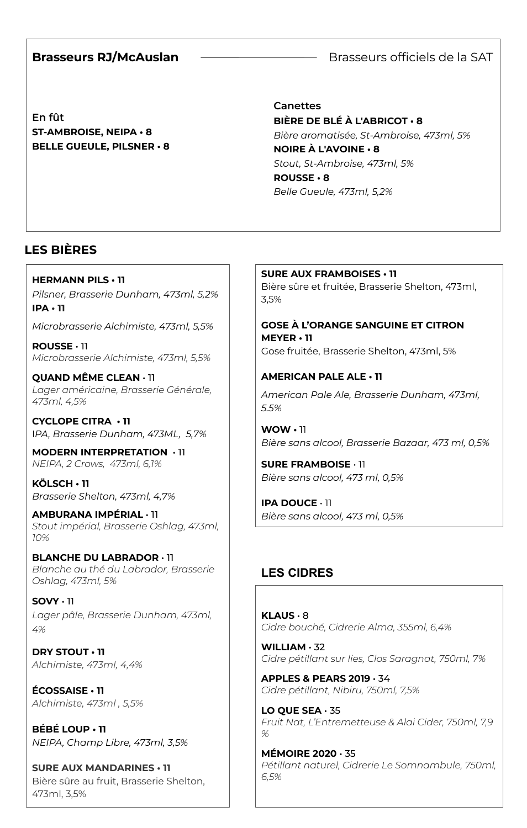### **Brasseurs RJ/McAuslan**

Brasseurs officiels de la SAT

**En fût ST-AMBROISE, NEIPA • 8 BELLE GUEULE, PILSNER • 8**

## **Canettes BIÈRE DE BLÉ À L'ABRICOT • 8** *Bière aromatisée, St-Ambroise, 473ml, 5%* **NOIRE À L'AVOINE • 8** *Stout, St-Ambroise, 473ml, 5%* **ROUSSE • 8** *Belle Gueule, 473ml, 5,2%*

 $\overline{\phantom{a}}$ 

# **LES BIÈRES**

**HERMANN PILS • 11** *Pilsner, Brasserie Dunham, 473ml, 5,2%* **IPA • 11**

*Microbrasserie Alchimiste, 473ml, 5,5%*

**ROUSSE** • 11 *Microbrasserie Alchimiste, 473ml, 5,5%*

**QUAND MÊME CLEAN** • 11 *Lager américaine, Brasserie Générale, 473ml, 4,5%*

**CYCLOPE CITRA • 11** I*PA, Brasserie Dunham, 473ML, 5,7%*

**MODERN INTERPRETATION** • 11 *NEIPA, 2 Crows, 473ml, 6,1%*

**KÖLSCH • 11** *Brasserie Shelton, 473ml, 4,7%*

**AMBURANA IMPÉRIAL** • 11 *Stout impérial, Brasserie Oshlag, 473ml, 10%*

**BLANCHE DU LABRADOR** • 11 *Blanche au thé du Labrador, Brasserie Oshlag, 473ml, 5%*

**SOVY** • 11 *Lager pâle, Brasserie Dunham, 473ml, 4%*

**DRY STOUT • 11** *Alchimiste, 473ml, 4,4%*

**ÉCOSSAISE • 11** *Alchimiste, 473ml , 5,5%*

**BÉBÉ LOUP • 11** *NEIPA, Champ Libre, 473ml, 3,5%*

**SURE AUX MANDARINES • 11** Bière sûre au fruit, Brasserie Shelton, 473ml, 3,5%

**SURE AUX FRAMBOISES • 11** Bière sûre et fruitée, Brasserie Shelton, 473ml, 3,5%

**GOSE À L'ORANGE SANGUINE ET CITRON MEYER • 11** Gose fruitée, Brasserie Shelton, 473ml, 5%

**AMERICAN PALE ALE • 11** *American Pale Ale, Brasserie Dunham, 473ml, 5.5%*

**WOW •** 11 *Bière sans alcool, Brasserie Bazaar, 473 ml, 0,5%*

**SURE FRAMBOISE** • 11 *Bière sans alcool, 473 ml, 0,5%*

 $B$ ière sans alcool, 473 ml, 0,5% **IPA DOUCE** • 11

# **LES CIDRES**

**KLAUS** • 8 *Cidre bouché, Cidrerie Alma, 355ml, 6,4%*

**WILLIAM** • 32 *Cidre pétillant sur lies, Clos Saragnat, 750ml, 7%*

**APPLES & PEARS 2019** • 34 *Cidre pétillant, Nibiru, 750ml, 7,5%*

**LO QUE SEA** • 35 *Fruit Nat, L'Entremetteuse & Alai Cider, 750ml, 7,9 %*

**MÉMOIRE 2020** • 35 *Pétillant naturel, Cidrerie Le Somnambule, 750ml, 6,5%*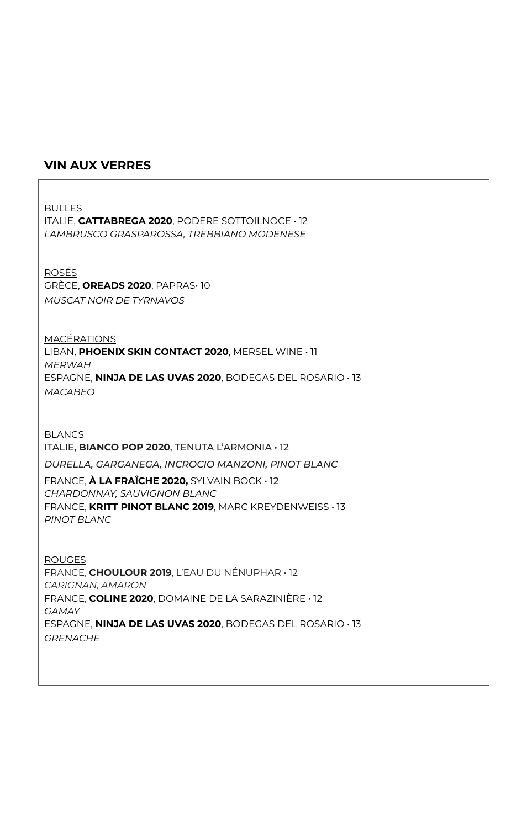### **VIN AUX VERRES**

BULLES ITALIE, **CATTABREGA 2020**, PODERE SOTTOILNOCE • 12 *LAMBRUSCO GRASPAROSSA, TREBBIANO MODENESE* ROSÉS GRÈCE, **OREADS 2020**, PAPRAS• 10 *MUSCAT NOIR DE TYRNAVOS* MACÉRATIONS LIBAN, **PHOENIX SKIN CONTACT 2020**, MERSEL WINE • 11 *MERWAH* ESPAGNE, **NINJA DE LAS UVAS 2020**, BODEGAS DEL ROSARIO • 13 *MACABEO* **BLANCS** ITALIE, **BIANCO POP 2020**, TENUTA L'ARMONIA • 12 *DURELLA, GARGANEGA, INCROCIO MANZONI, PINOT BLANC* FRANCE, **À LA FRAÎCHE 2020,** SYLVAIN BOCK • 12 *CHARDONNAY, SAUVIGNON BLANC* FRANCE, **KRITT PINOT BLANC 2019**, MARC KREYDENWEISS • 13 *PINOT BLANC* ROUGES FRANCE, **CHOULOUR 2019**, L'EAU DU NÉNUPHAR • 12 *CARIGNAN, AMARON* FRANCE, **COLINE 2020**, DOMAINE DE LA SARAZINIÈRE • 12 *GAMAY* ESPAGNE, **NINJA DE LAS UVAS 2020**, BODEGAS DEL ROSARIO • 13 *GRENACHE*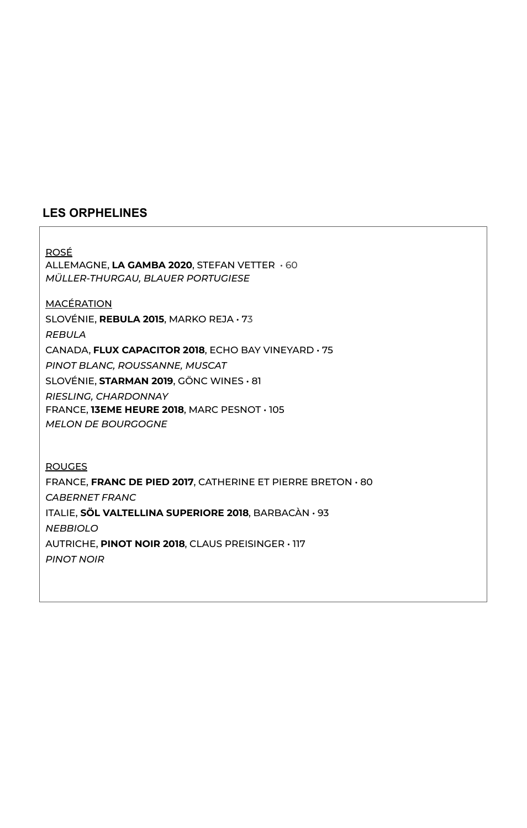## **LES ORPHELINES**

## ROSÉ

ALLEMAGNE, **LA GAMBA 2020**, STEFAN VETTER • 60 *MÜLLER-THURGAU, BLAUER PORTUGIESE*

**MACÉRATION** 

SLOVÉNIE, **REBULA 2015**, MARKO REJA • 73

*REBULA*

CANADA, **FLUX CAPACITOR 2018**, ECHO BAY VINEYARD • 75

*PINOT BLANC, ROUSSANNE, MUSCAT*

SLOVÉNIE, **STARMAN 2019**, GÖNC WINES • 81

*RIESLING, CHARDONNAY*

FRANCE, **13EME HEURE 2018**, MARC PESNOT • 105 *MELON DE BOURGOGNE*

ROUGES FRANCE, **FRANC DE PIED 2017**, CATHERINE ET PIERRE BRETON • 80 *CABERNET FRANC* ITALIE, **SÖL VALTELLINA SUPERIORE 2018**, BARBACÀN • 93 *NEBBIOLO* AUTRICHE, **PINOT NOIR 2018**, CLAUS PREISINGER • 117 *PINOT NOIR*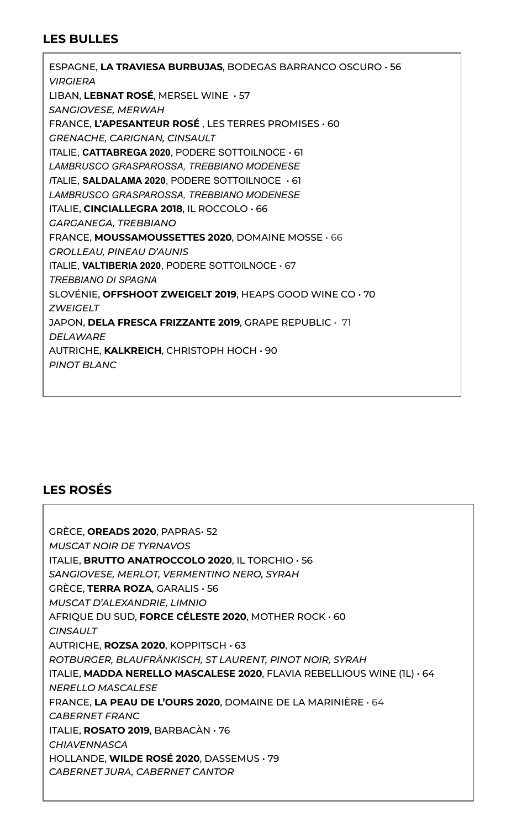## **LES BULLES**

ESPAGNE, **LA TRAVIESA BURBUJAS**, BODEGAS BARRANCO OSCURO • 56 *VIRGIERA* LIBAN, **LEBNAT ROSÉ**, MERSEL WINE • 57 *SANGIOVESE, MERWAH* FRANCE, **L'APESANTEUR ROSÉ** , LES TERRES PROMISES • 60 *GRENACHE, CARIGNAN, CINSAULT* ITALIE, **CATTABREGA 2020**, PODERE SOTTOILNOCE • 61 *LAMBRUSCO GRASPAROSSA, TREBBIANO MODENESE I*TALIE, **SALDALAMA 2020**, PODERE SOTTOILNOCE • 61 *LAMBRUSCO GRASPAROSSA, TREBBIANO MODENESE* ITALIE, **CINCIALLEGRA 2018**, IL ROCCOLO • 66 *GARGANEGA, TREBBIANO* FRANCE, **MOUSSAMOUSSETTES 2020**, DOMAINE MOSSE • 66 *GROLLEAU, PINEAU D'AUNIS* ITALIE, **VALTIBERIA 2020**, PODERE SOTTOILNOCE • 67 *TREBBIANO DI SPAGNA* SLOVÉNIE, **OFFSHOOT ZWEIGELT 2019**, HEAPS GOOD WINE CO • 70 *ZWEIGELT* JAPON, **DELA FRESCA FRIZZANTE 2019**, GRAPE REPUBLIC • 71 *DELAWARE* AUTRICHE, **KALKREICH**, CHRISTOPH HOCH • 90 *PINOT BLANC*

## **LES ROSÉS**

GRÈCE, **OREADS 2020**, PAPRAS• 52 *MUSCAT NOIR DE TYRNAVOS* ITALIE, **BRUTTO ANATROCCOLO 2020**, IL TORCHIO • 56 *SANGIOVESE, MERLOT, VERMENTINO NERO, SYRAH* GRÈCE, **TERRA ROZA**, GARALIS • 56 *MUSCAT D'ALEXANDRIE, LIMNIO* AFRIQUE DU SUD, **FORCE CÉLESTE 2020**, MOTHER ROCK • 60 *CINSAULT* AUTRICHE, **ROZSA 2020**, KOPPITSCH • 63 *ROTBURGER, BLAUFRÄNKISCH, ST LAURENT, PINOT NOIR, SYRAH* ITALIE, **MADDA NERELLO MASCALESE 2020**, FLAVIA REBELLIOUS WINE (1L) *•* 64 *NERELLO MASCALESE* FRANCE, **LA PEAU DE L'OURS 2020**, DOMAINE DE LA MARINIÈRE • 64 *CABERNET FRANC* ITALIE, **ROSATO 2019**, BARBACÀN • 76 *CHIAVENNASCA* HOLLANDE, **WILDE ROSÉ 2020**, DASSEMUS • 79 *CABERNET JURA, CABERNET CANTOR*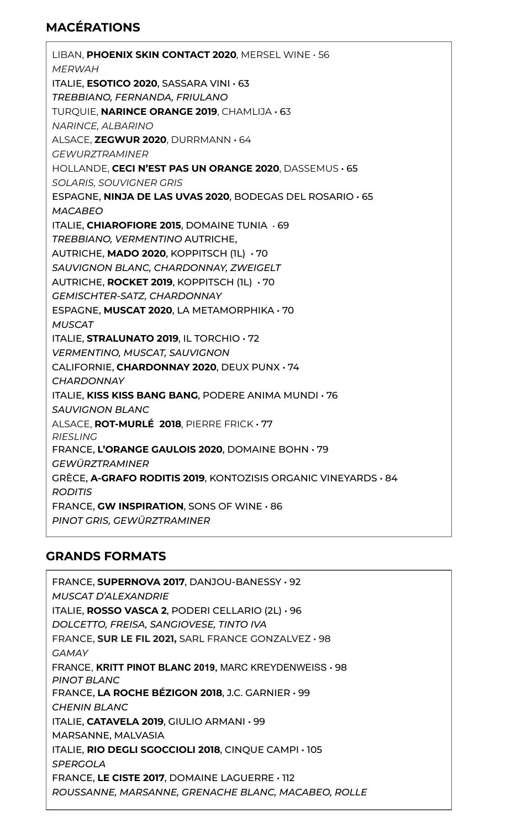# **MACÉRATIONS**

LIBAN, **PHOENIX SKIN CONTACT 2020**, MERSEL WINE • 56 *MERWAH* ITALIE, **ESOTICO 2020**, SASSARA VINI • 63 *TREBBIANO, FERNANDA, FRIULANO* TURQUIE, **NARINCE ORANGE 2019**, CHAMLIJA • 63 *NARINCE, ALBARINO* ALSACE, **ZEGWUR 2020**, DURRMANN • 64 *GEWURZTRAMINER* HOLLANDE, **CECI N'EST PAS UN ORANGE 2020**, DASSEMUS • 65 *SOLARIS, SOUVIGNER GRIS* ESPAGNE, **NINJA DE LAS UVAS 2020**, BODEGAS DEL ROSARIO • 65 *MACABEO* ITALIE, **CHIAROFIORE 2015**, DOMAINE TUNIA • 69 *TREBBIANO, VERMENTINO* AUTRICHE, AUTRICHE, **MADO 2020**, KOPPITSCH (1L) • 70 *SAUVIGNON BLANC, CHARDONNAY, ZWEIGELT* AUTRICHE, **ROCKET 2019**, KOPPITSCH (1L) • 70 *GEMISCHTER-SATZ, CHARDONNAY* ESPAGNE, **MUSCAT 2020**, LA METAMORPHIKA • 70 *MUSCAT* ITALIE, **STRALUNATO 2019**, IL TORCHIO • 72 *VERMENTINO, MUSCAT, SAUVIGNON* CALIFORNIE, **CHARDONNAY 2020**, DEUX PUNX • 74 *CHARDONNAY* ITALIE, **KISS KISS BANG BANG**, PODERE ANIMA MUNDI • 76 *SAUVIGNON BLANC* ALSACE, **ROT-MURLÉ 2018**, PIERRE FRICK • 77 *RIESLING* FRANCE, **L'ORANGE GAULOIS 2020**, DOMAINE BOHN • 79 *GEWÜRZTRAMINER* GRÈCE, **A-GRAFO RODITIS 2019**, KONTOZISIS ORGANIC VINEYARDS • 84 *RODITIS* FRANCE, **GW INSPIRATION**, SONS OF WINE • 86 *PINOT GRIS, GEWÜRZTRAMINER*

# **GRANDS FORMATS**

FRANCE, **SUPERNOVA 2017**, DANJOU-BANESSY • 92 *MUSCAT D'ALEXANDRIE* ITALIE, **ROSSO VASCA 2**, PODERI CELLARIO (2L) • 96 *DOLCETTO, FREISA, SANGIOVESE, TINTO IVA* FRANCE, **SUR LE FIL 2021,** SARL FRANCE GONZALVEZ • 98 *GAMAY* FRANCE, **KRITT PINOT BLANC 2019,** MARC KREYDENWEISS • 98 *PINOT BLANC* FRANCE, **LA ROCHE BÉZIGON 2018**, J.C. GARNIER • 99 *CHENIN BLANC* ITALIE, **CATAVELA 2019**, GIULIO ARMANI • 99 MARSANNE, MALVASIA ITALIE, **RIO DEGLI SGOCCIOLI 2018**, CINQUE CAMPI • 105 *SPERGOLA* FRANCE, **LE CISTE 2017**, DOMAINE LAGUERRE • 112 *ROUSSANNE, MARSANNE, GRENACHE BLANC, MACABEO, ROLLE*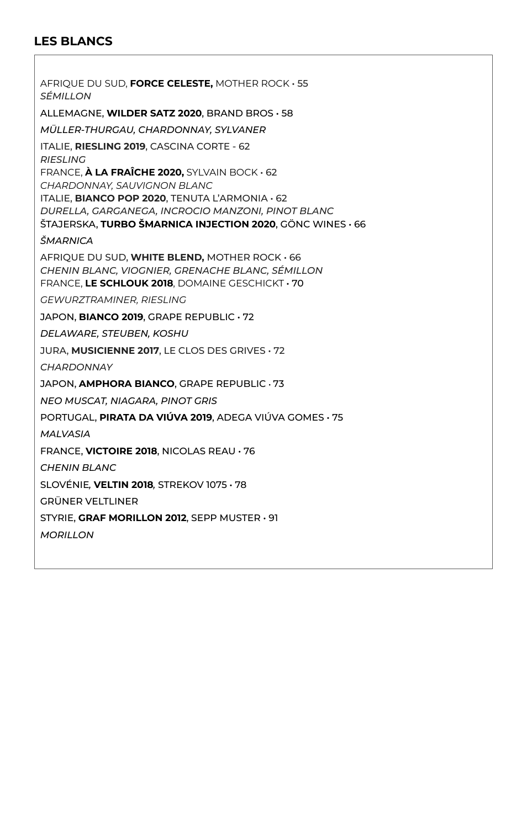## **LES BLANCS**

AFRIQUE DU SUD, **FORCE CELESTE,** MOTHER ROCK • 55 *SÉMILLON* ALLEMAGNE, **WILDER SATZ 2020**, BRAND BROS • 58 *MÜLLER-THURGAU, CHARDONNAY, SYLVANER* ITALIE, **RIESLING 2019**, CASCINA CORTE - 62 *RIESLING* FRANCE, **À LA FRAÎCHE 2020,** SYLVAIN BOCK • 62 *CHARDONNAY, SAUVIGNON BLANC* ITALIE, **BIANCO POP 2020**, TENUTA L'ARMONIA • 62 *DURELLA, GARGANEGA, INCROCIO MANZONI, PINOT BLANC* ŠTAJERSKA, **TURBO ŠMARNICA INJECTION 2020**, GÖNC WINES • 66 *ŠMARNICA* AFRIQUE DU SUD, **WHITE BLEND,** MOTHER ROCK • 66 *CHENIN BLANC, VIOGNIER, GRENACHE BLANC, SÉMILLON* FRANCE, **LE SCHLOUK 2018**, DOMAINE GESCHICKT • 70 *GEWURZTRAMINER, RIESLING* JAPON, **BIANCO 2019**, GRAPE REPUBLIC • 72 *DELAWARE, STEUBEN, KOSHU* JURA, **MUSICIENNE 2017**, LE CLOS DES GRIVES • 72 *CHARDONNAY* JAPON, **AMPHORA BIANCO**, GRAPE REPUBLIC • 73 *NEO MUSCAT, NIAGARA, PINOT GRIS* PORTUGAL, **PIRATA DA VIÚVA 2019**, ADEGA VIÚVA GOMES • 75 *MALVASIA* FRANCE, **VICTOIRE 2018**, NICOLAS REAU • 76 *CHENIN BLANC*  SLOVÉNIE*,* **VELTIN 2018***,* STREKOV 1075 • 78 GRÜNER VELTLINER STYRIE, **GRAF MORILLON 2012**, SEPP MUSTER • 91 *MORILLON*